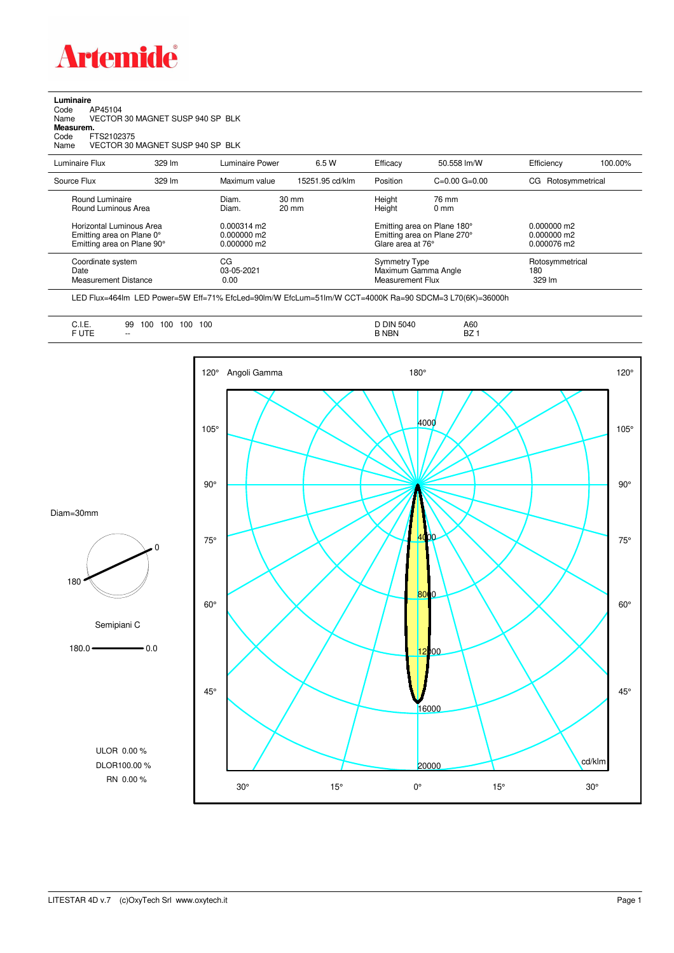

**Luminaire**<br>Code /<br>Name \ Code AP45104 Name VECTOR 30 MAGNET SUSP 940 SP BLK **Measurem.** Code FTS2102375 Name VECTOR 30 MAGNET SUSP 940 SP BLK

| Luminaire Flux                                                                                                                | 329 lm | Luminaire Power                                                   | 6.5 W                              | Efficacy | 50.558 lm/W                                                                                                                    | Efficiency             | 100.00%         |
|-------------------------------------------------------------------------------------------------------------------------------|--------|-------------------------------------------------------------------|------------------------------------|----------|--------------------------------------------------------------------------------------------------------------------------------|------------------------|-----------------|
| Source Flux                                                                                                                   | 329 lm | Maximum value                                                     | 15251.95 cd/klm                    | Position | $C=0.00$ $G=0.00$                                                                                                              | Rotosymmetrical<br>CG. |                 |
| Round Luminaire<br>Round Luminous Area<br>Horizontal Luminous Area<br>Emitting area on Plane 0°<br>Emitting area on Plane 90° |        | Diam.<br>Diam.<br>$0.000314$ m2<br>$0.000000$ m2<br>$0.000000$ m2 | $30 \text{ mm}$<br>$20 \text{ mm}$ |          | Height<br>76 mm<br>Height<br>$0 \text{ mm}$<br>Emitting area on Plane 180°<br>Emitting area on Plane 270°<br>Glare area at 76° |                        |                 |
| Coordinate system<br>Date<br>Measurement Distance                                                                             |        | CG<br>03-05-2021<br>0.00                                          |                                    |          | <b>Symmetry Type</b><br>Maximum Gamma Angle<br><b>Measurement Flux</b>                                                         |                        | Rotosymmetrical |

LED Flux=464lm LED Power=5W Eff=71% EfcLed=90lm/W EfcLum=51lm/W CCT=4000K Ra=90 SDCM=3 L70(6K)=36000h